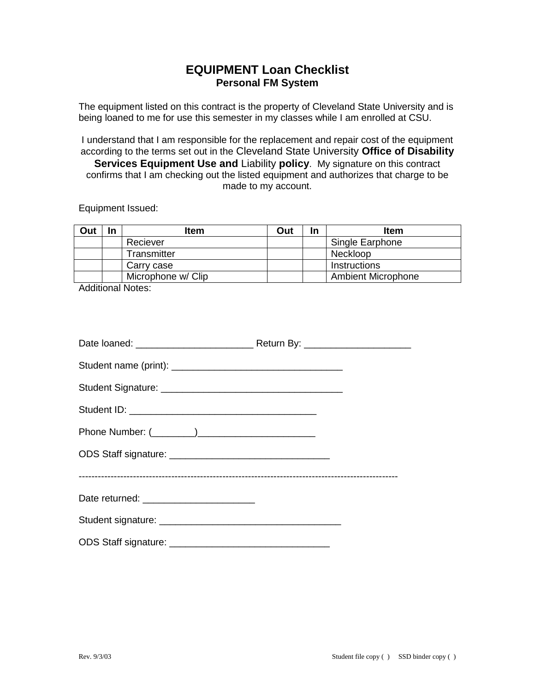## **EQUIPMENT Loan Checklist Personal FM System**

The equipment listed on this contract is the property of Cleveland State University and is being loaned to me for use this semester in my classes while I am enrolled at CSU.

I understand that I am responsible for the replacement and repair cost of the equipment according to the terms set out in the Cleveland State University **Office of Disability Services Equipment Use and** Liability **policy**. My signature on this contract confirms that I am checking out the listed equipment and authorizes that charge to be made to my account.

Equipment Issued:

| Out | In | ltem               | Out | In | <b>Item</b>               |
|-----|----|--------------------|-----|----|---------------------------|
|     |    | Reciever           |     |    | Single Earphone           |
|     |    | Transmitter        |     |    | Neckloop                  |
|     |    | Carry case         |     |    | Instructions              |
|     |    | Microphone w/ Clip |     |    | <b>Ambient Microphone</b> |

Additional Notes:

| Date returned: __________________________ |  |
|-------------------------------------------|--|
|                                           |  |
|                                           |  |